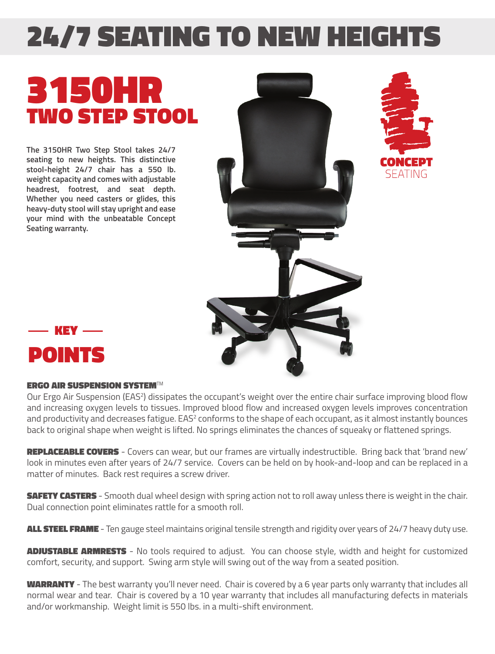## 24/7 SEATING TO NEW HEIGHTS

## 3150HR TWO STEP STOOL

**The 3150HR Two Step Stool takes 24/7 seating to new heights. This distinctive stool-height 24/7 chair has a 550 lb. weight capacity and comes with adjustable headrest, footrest, and seat depth. Whether you need casters or glides, this heavy-duty stool will stay upright and ease your mind with the unbeatable Concept Seating warranty.**





## ERGO AIR SUSPENSION SYSTEM*TM*

Our Ergo Air Suspension (EAS<sup>2</sup>) dissipates the occupant's weight over the entire chair surface improving blood flow and increasing oxygen levels to tissues. Improved blood flow and increased oxygen levels improves concentration and productivity and decreases fatigue.  $EAS<sup>2</sup>$  conforms to the shape of each occupant, as it almost instantly bounces back to original shape when weight is lifted. No springs eliminates the chances of squeaky or flattened springs.

REPLACEABLE COVERS - Covers can wear, but our frames are virtually indestructible. Bring back that 'brand new' look in minutes even after years of 24/7 service. Covers can be held on by hook-and-loop and can be replaced in a matter of minutes. Back rest requires a screw driver.

**SAFETY CASTERS** - Smooth dual wheel design with spring action not to roll away unless there is weight in the chair. Dual connection point eliminates rattle for a smooth roll.

ALL STEEL FRAME - Ten gauge steel maintains original tensile strength and rigidity over years of 24/7 heavy duty use.

**ADJUSTABLE ARMRESTS** - No tools required to adjust. You can choose style, width and height for customized comfort, security, and support. Swing arm style will swing out of the way from a seated position.

WARRANTY - The best warranty you'll never need. Chair is covered by a 6 year parts only warranty that includes all normal wear and tear. Chair is covered by a 10 year warranty that includes all manufacturing defects in materials and/or workmanship. Weight limit is 550 lbs. in a multi-shift environment.